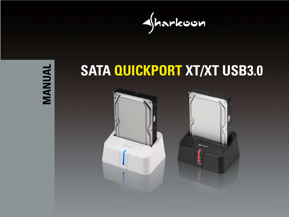



# **SATA QUICKPORT XT/XT USB3.0**

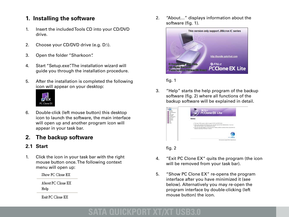## **1. Installing the software**

- 1. Insert the included Tools CD into your CD/DVD drive.
- 2. Choose your CD/DVD drive (e.g. D:\).
- 3. Open the folder "Sharkoon".
- 4. Start "Setup.exe". The installation wizard will guide you through the installation procedure.
- 5. After the installation is completed the following icon will appear on your desktop:



6. Double-click (left mouse button) this desktop icon to launch the software, the main interface will open up and another program icon will appear in your task bar.

## **2. The backup software**

### **2.1 Start**

1. Click the icon in your task bar with the right mouse button once. The following context menu will open up:

Show PC Clone EX

About PC Clone EX Help

Exit PC Clone EX

2. "About…" displays information about the software (fig. 1).



fig. 1

3. "Help" starts the help program of the backup software (fig. 2) where all functions of the backup software will be explained in detail.

|  | PCCIone EX Lite                                                        |
|--|------------------------------------------------------------------------|
|  | Equipment for What Hard and Ann II Warrants.<br>of teaching on bootmak |
|  |                                                                        |
|  |                                                                        |

fig. 2

- 4. "Exit PC Clone EX" quits the program (the icon will be removed from your task bar).
- 5. "Show PC Clone EX" re-opens the program interface after you have minimized it (see below). Alternatively you may re-open the program interface by double-clicking (left mouse button) the icon.

# **COUICKPORT XT/XT**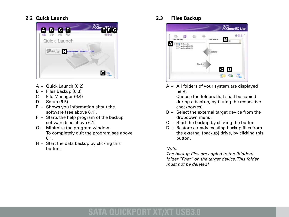#### **2.2 Quick Launch**



- A Quick Launch (6.2)
- B Files Backup (6.3)
- C File Manager (6.4)
- D Setup (6.5)
- E Shows you information about the software (see above 6.1).
- F Starts the help program of the backup software (see above 6.1)
- G Minimize the program window. To completely quit the program see above 6.1.
- H Start the data backup by clicking this button.

**2.3 Files Backup**



 A – All folders of your system are displayed here.

 Choose the folders that shall be copied during a backup, by ticking the respective checkbox(es).

- B Select the external target device from the dropdown menu.
- C Start the backup by clicking the button.
- D Restore already existing backup files from the external (backup) drive, by clicking this button.

#### *Note:*

 *The backup files are copied to the (hidden) folder "Fnet" on the target device. This folder must not be deleted!*

# **OUICKPORT XT/XT**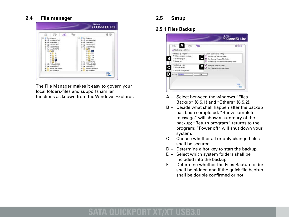#### **2.4 File manager**



 The File Manager makes it easy to govern your local folders/files and supports similar functions as known from the Windows Explorer.

#### **2.5 Setup**

#### **2.5.1 Files Backup**



- A Select between the windows "Files Backup" (6.5.1) and "Others" (6.5.2).
- B Decide what shall happen after the backup has been completed: "Show complete message" will show a summary of the backup; "Return program" returns to the program; "Power off" will shut down your system.
- C Choose whether all or only changed files shall be secured.
- D Determine a hot key to start the backup.
- E Select which system folders shall be included into the backup.
- F Determine whether the Files Backup folder shall be hidden and if the quick file backup shall be double confirmed or not.

## **SATA QUICKPORT XT/XT USB3.0**